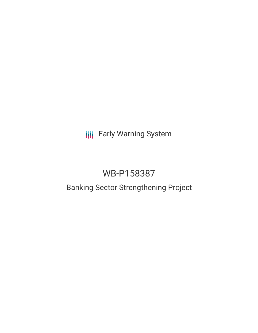**III** Early Warning System

# WB-P158387

## Banking Sector Strengthening Project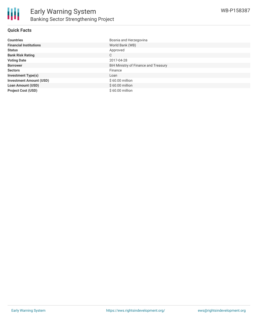

#### **Quick Facts**

| <b>Countries</b>               | Bosnia and Herzegovina               |
|--------------------------------|--------------------------------------|
| <b>Financial Institutions</b>  | World Bank (WB)                      |
| <b>Status</b>                  | Approved                             |
| <b>Bank Risk Rating</b>        | C                                    |
| <b>Voting Date</b>             | 2017-04-28                           |
| <b>Borrower</b>                | BiH Ministry of Finance and Treasury |
| <b>Sectors</b>                 | Finance                              |
| <b>Investment Type(s)</b>      | Loan                                 |
| <b>Investment Amount (USD)</b> | $$60.00$ million                     |
| <b>Loan Amount (USD)</b>       | $$60.00$ million                     |
| <b>Project Cost (USD)</b>      | $$60.00$ million                     |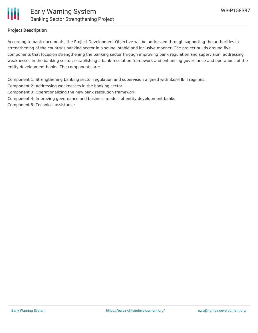

#### **Project Description**

According to bank documents, the Project Development Objective will be addressed through supporting the authorities in strengthening of the country's banking sector in a sound, stable and inclusive manner. The project builds around five components that focus on strengthening the banking sector through improving bank regulation and supervision, addressing weaknesses in the banking sector, establishing a bank resolution framework and enhancing governance and operations of the entity development banks. The components are:

Component 1: Strengthening banking sector regulation and supervision aligned with Basel II/III regimes.

Component 2: Addressing weaknesses in the banking sector

Component 3: Operationalizing the new bank resolution framework

Component 4: Improving governance and business models of entity development banks

Component 5: Technical assistance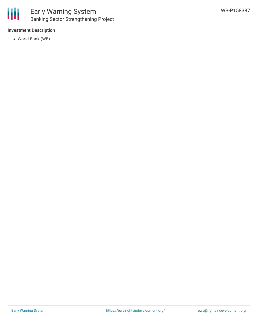#### **Investment Description**

World Bank (WB)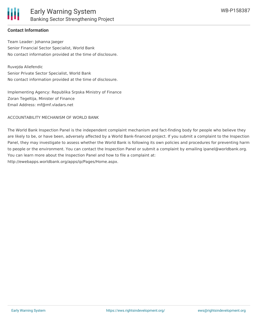#### **Contact Information**

Team Leader: Johanna Jaeger Senior Financial Sector Specialist, World Bank No contact information provided at the time of disclosure.

Ruvejda Aliefendic Senior Private Sector Specialist, World Bank No contact information provided at the time of disclosure.

Implementing Agency: Republika Srpska Ministry of Finance Zoran Tegeltija, Minister of Finance Email Address: mf@mf.vladars.net

ACCOUNTABILITY MECHANISM OF WORLD BANK

The World Bank Inspection Panel is the independent complaint mechanism and fact-finding body for people who believe they are likely to be, or have been, adversely affected by a World Bank-financed project. If you submit a complaint to the Inspection Panel, they may investigate to assess whether the World Bank is following its own policies and procedures for preventing harm to people or the environment. You can contact the Inspection Panel or submit a complaint by emailing ipanel@worldbank.org. You can learn more about the Inspection Panel and how to file a complaint at: http://ewebapps.worldbank.org/apps/ip/Pages/Home.aspx.